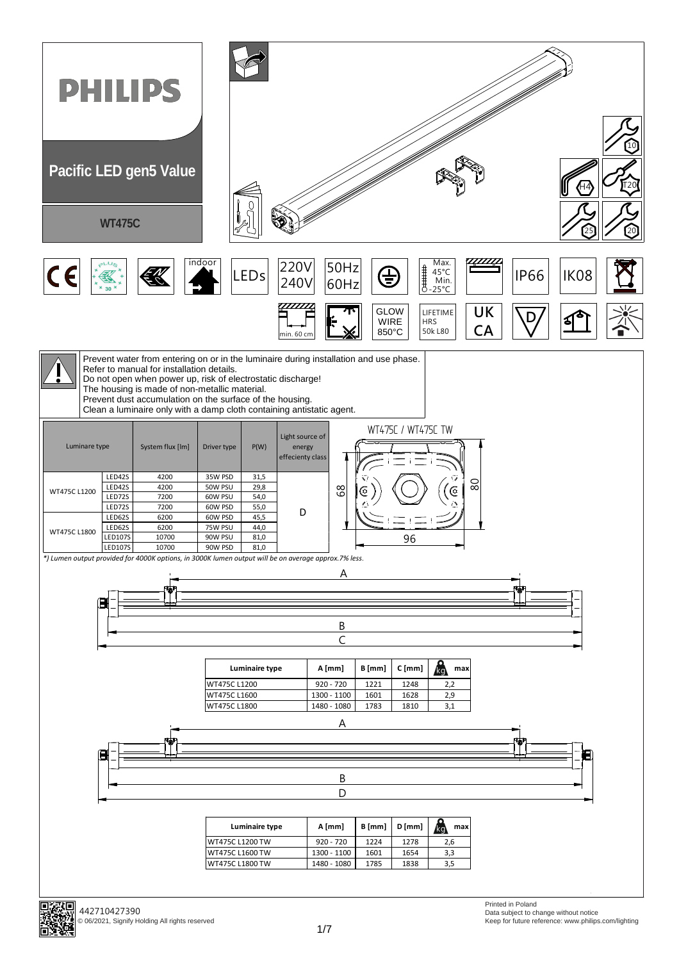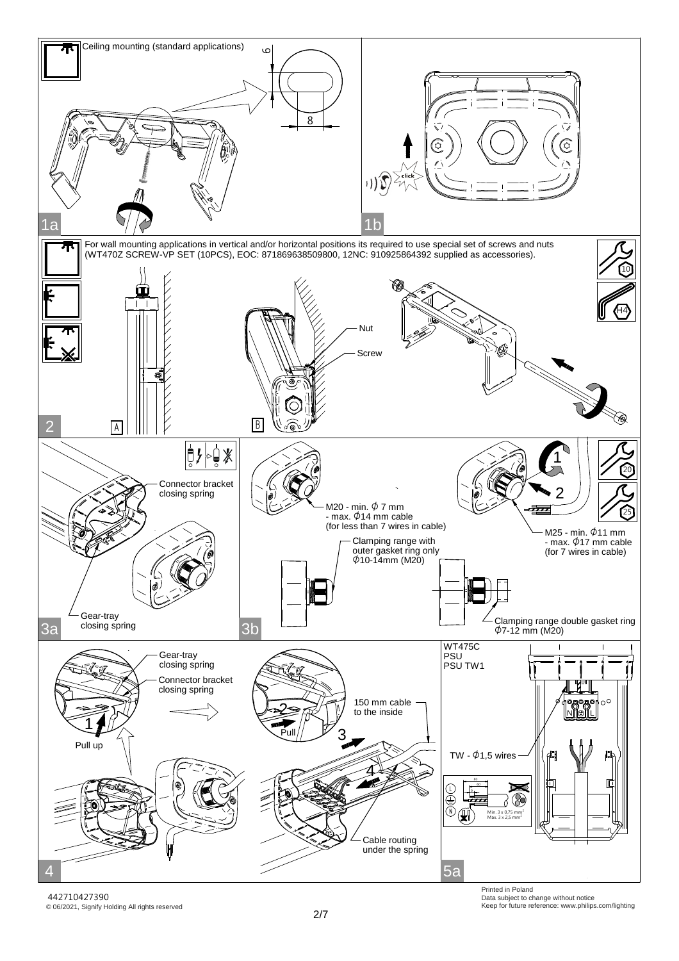

© 06/2021, Signify Holding All rights reserved 442710427390

Printed in Poland Data subject to change without notice Keep for future reference: www.philips.com/lighting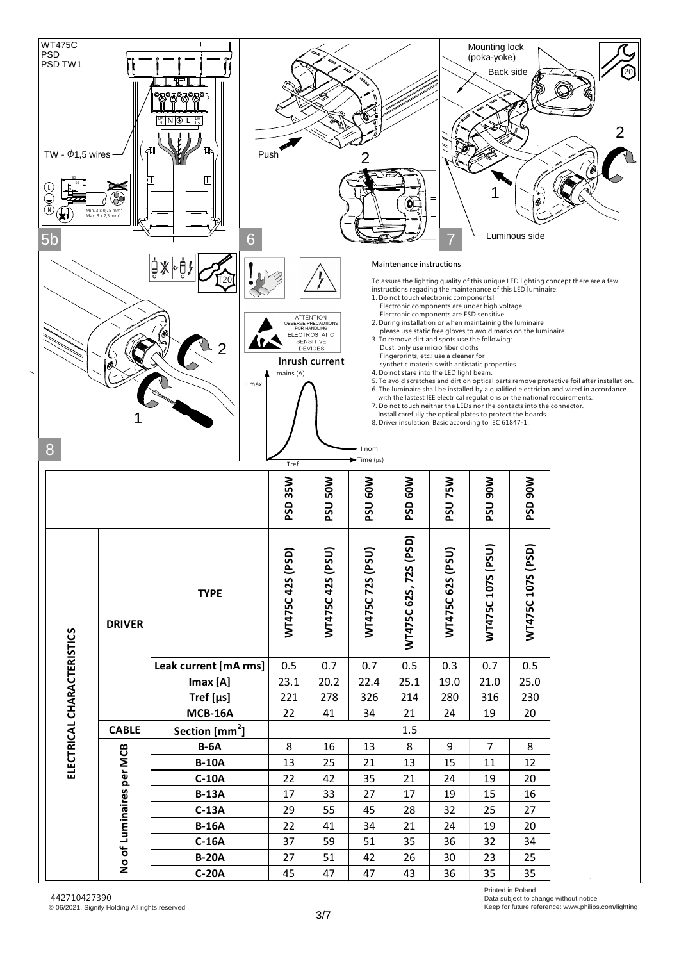

Printed in Poland Data subject to change without notice Keep for future reference: www.philips.com/lighting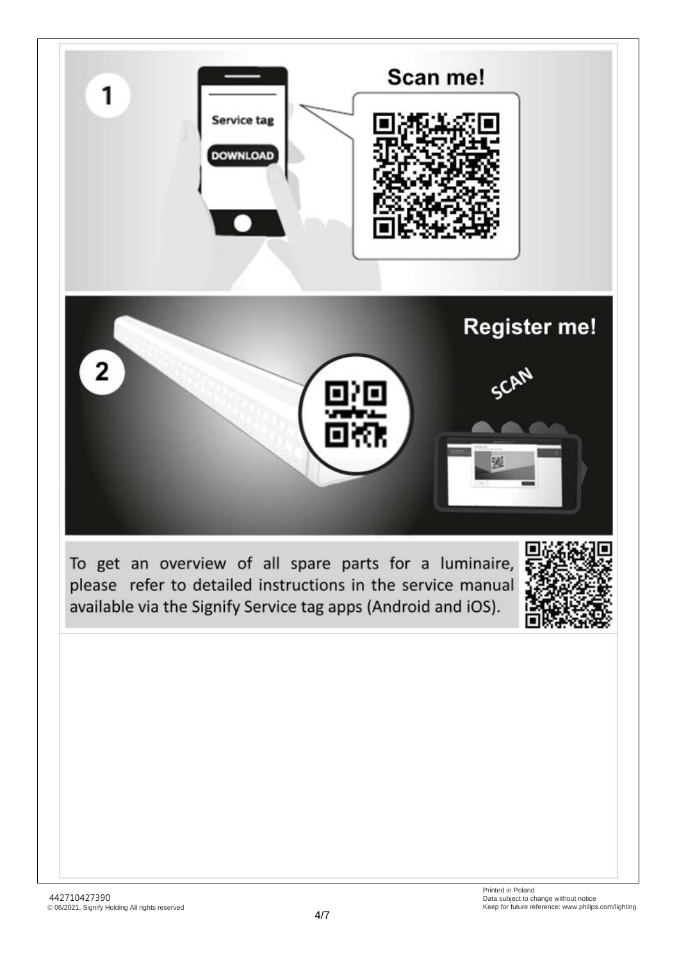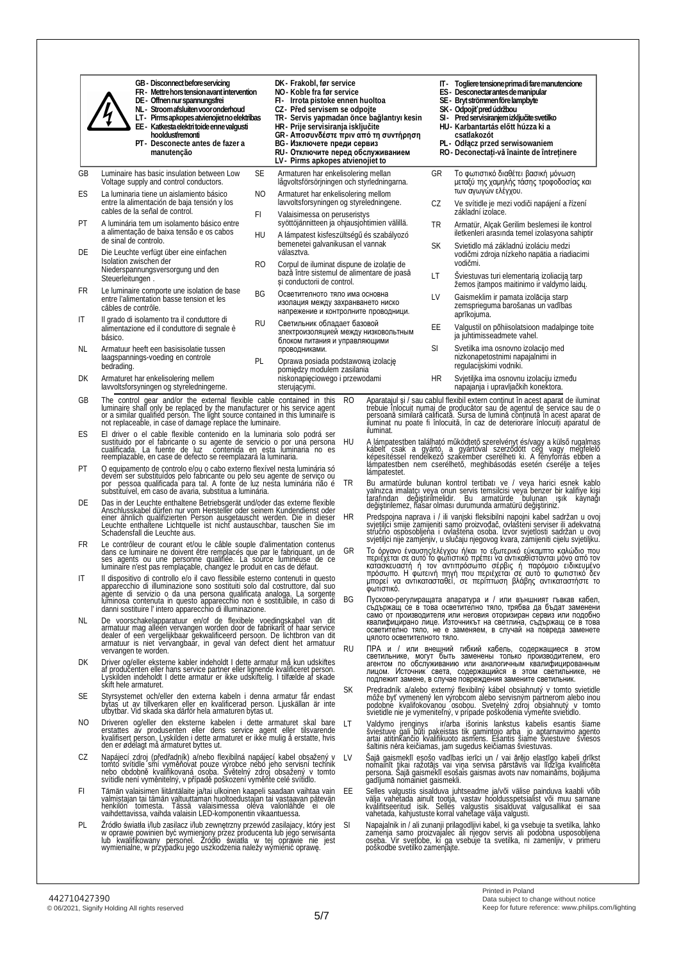|          | GB - Disconnect before servicing<br>FR-Mettre horstension avant intervention<br>DE - Offnen nur spannungsfrei<br>NL-Stroom afsluiten voor onderhoud<br>LT - Pirms apkopes atvienojiet no elektrības<br>EE - Katkesta elektri toide enne valgusti<br>hooldust/remonti<br>PT - Desconecte antes de fazer a<br>manutenção                | DK-Frakobl, før service<br>NO-Koble fra før service<br>FI- Irrota pistoke ennen huoltoa<br>CZ - Před servisem se odpojte<br>TR- Servis yapmadan önce bağlantıyı kesin<br>HR - Prije servisiranja isključite<br>GR- Αποσυνδέστε πριν από τη συντήρηση<br>BG - Изключете преди сервиз<br>RU- Отключите перед обслуживанием<br>LV - Pirms apkopes atvienojiet to |           |                               |           | IT - Togliere tensione prima di faremanutencione<br>ES - Desconectar antes de manipular<br>SE - Bryt strömmen före lampbyte<br>SK - Odpojiť pred údržbou<br>SI - Pred servisiranjem izključite svetilko<br>HU- Karbantartás előtt húzza ki a<br>csatlakozót<br>PL - Odłącz przed serwisowaniem<br>RO - Deconectați vă înainte de întreținere                                                                                                               |
|----------|---------------------------------------------------------------------------------------------------------------------------------------------------------------------------------------------------------------------------------------------------------------------------------------------------------------------------------------|---------------------------------------------------------------------------------------------------------------------------------------------------------------------------------------------------------------------------------------------------------------------------------------------------------------------------------------------------------------|-----------|-------------------------------|-----------|------------------------------------------------------------------------------------------------------------------------------------------------------------------------------------------------------------------------------------------------------------------------------------------------------------------------------------------------------------------------------------------------------------------------------------------------------------|
| GВ<br>ES | <b>SE</b><br>Luminaire has basic insulation between Low<br>Voltage supply and control conductors.<br>La luminaria tiene un aislamiento básico<br>NO.                                                                                                                                                                                  | Armaturen har enkelisolering mellan<br>lågvoltsförsörjningen och styrledningarna.<br>Armaturet har enkelisolering mellom                                                                                                                                                                                                                                      |           |                               | GR        | Το φωτιστικό διαθέτει βασική μόνωση<br>μεταξύ της χαμηλής τάσης τροφοδοσίας και<br>των αγωγών ελέγχου.                                                                                                                                                                                                                                                                                                                                                     |
|          | entre la alimentación de baja tensión y los<br>cables de la señal de control.                                                                                                                                                                                                                                                         | lavvoltsforsyningen og styreledningene.                                                                                                                                                                                                                                                                                                                       |           |                               | CZ        | Ve svítidle je mezi vodiči napájení a řízení<br>základní izolace.                                                                                                                                                                                                                                                                                                                                                                                          |
| РT       | FI<br>A luminária tem um isolamento básico entre<br>a alimentação de baixa tensão e os cabos<br>HU                                                                                                                                                                                                                                    | Valaisimessa on peruseristys<br>syöttöjännitteen ja ohjausjohtimien välillä.<br>A lámpatest kisfeszültségű és szabályozó                                                                                                                                                                                                                                      |           |                               | TR        | Armatür, Alçak Gerilim beslemesi ile kontrol<br>iletkenleri arasında temel izolasyona sahiptir                                                                                                                                                                                                                                                                                                                                                             |
| DE       | de sinal de controlo.<br>Die Leuchte verfügt über eine einfachen<br>Isolation zwischen der<br>RO.                                                                                                                                                                                                                                     | bemenetei galvanikusan el vannak<br>választva.<br>Corpul de iluminat dispune de izolație de                                                                                                                                                                                                                                                                   |           |                               | <b>SK</b> | Svietidlo má základnú izoláciu medzi<br>vodičmi zdroja nízkeho napätia a riadiacimi<br>vodičmi.                                                                                                                                                                                                                                                                                                                                                            |
|          | Niederspannungsversorgung und den<br>Steuerleitungen.                                                                                                                                                                                                                                                                                 | bază între sistemul de alimentare de joasă<br>și conductorii de control.                                                                                                                                                                                                                                                                                      |           |                               | LT        | Šviestuvas turi elementarią izoliaciją tarp<br>žemos įtampos maitinimo ir valdymo laidų.                                                                                                                                                                                                                                                                                                                                                                   |
| FR       | Le luminaire comporte une isolation de base<br>ΒG<br>entre l'alimentation basse tension et les<br>câbles de contrôle.                                                                                                                                                                                                                 | Осветителното тяло има основна<br>изолация между захранването ниско<br>напрежение и контролните проводници.                                                                                                                                                                                                                                                   |           |                               | LV        | Gaismeklim ir pamata izolācija starp<br>zemsprieguma barošanas un vadības<br>aprīkojuma.                                                                                                                                                                                                                                                                                                                                                                   |
| IT       | Il grado di isolamento tra il conduttore di<br><b>RU</b><br>alimentazione ed il conduttore di segnale è<br>básico.                                                                                                                                                                                                                    | Светильник обладает базовой<br>злектроизоляцией между низковольтным<br>блоком питания и управляющими                                                                                                                                                                                                                                                          |           |                               | EЕ        | Valgustil on põhiisolatsioon madalpinge toite<br>ja juhtimisseadmete vahel.                                                                                                                                                                                                                                                                                                                                                                                |
| NL.      | Armatuur heeft een basisisolatie tussen<br>laagspannings-voeding en controle<br>PL<br>bedrading.                                                                                                                                                                                                                                      | проводниками.<br>Oprawa posiada podstawową izolację                                                                                                                                                                                                                                                                                                           |           |                               | SI        | Svetilka ima osnovno izolacijo med<br>nizkonapetostnimi napajalnimi in<br>regulacijskimi vodniki.                                                                                                                                                                                                                                                                                                                                                          |
| DK       | Armaturet har enkelisolering mellem<br>lavvoltsforsyningen og styreledningerne.                                                                                                                                                                                                                                                       | pomiedzy modulem zasilania<br>niskonapięciowego i przewodami<br>sterującymi.                                                                                                                                                                                                                                                                                  |           |                               | HR        | Svjetiljka ima osnovnu izolaciju između<br>napajanja i upravljačkih konektora.                                                                                                                                                                                                                                                                                                                                                                             |
| GВ       | The control gear and/or the external flexible cable contained in this luminaire shall only be replaced by the manufacturer or his service agent or a similar qualified person. The light source contained in this luminaire is<br>not replaceable, in case of damage replace the luminaire.                                           |                                                                                                                                                                                                                                                                                                                                                               | RO.       |                               |           | Aparatajul și / sau cablul flexibil extern continut în acest aparat de iluminat<br>trebuie înlocuit numai de producător sau de agentul de service sau de o<br>persoană similară calificată. Sursa de lumină continută în acest apara                                                                                                                                                                                                                       |
| ES       | El driver o el cable flexible contenido en la luminaria solo podrá ser sustituido por el fabricante o su agente de servicio o por una persona cualificada. La fuente de luz contenida en esta luminaria no es<br>reemplazable, en case de defecto se reemplazará la luminaria.                                                        |                                                                                                                                                                                                                                                                                                                                                               | HU        | iluminat.                     |           | A lámpatestben található működtető szerelvényt és/vagy a külső rugalmas kábelt csak a gyártó, a gyartóval szerződött cég vagy megfelelő képesítéssel rendelkező szakember cserélheti ki. A fényforrás ebben a lámpatestben nem                                                                                                                                                                                                                             |
| РT       | O equipamento de controlo e/ou o cabo externo flexível nesta luminária só<br>devem ser substituídos pelo fabricante ou pelo seu agente de serviço ou por pessoa qualificada para tal. A fonte de luz nesta luminária não é<br>substituível, em caso de avaria, substitua a luminária.                                                 |                                                                                                                                                                                                                                                                                                                                                               | TR        | lámpatestet.                  |           | Bu armatürde bulunan kontrol tertibatı ve / veya harici esnek kablo                                                                                                                                                                                                                                                                                                                                                                                        |
| DE       | Das in der Leuchte enthaltene Betriebsgerät und/oder das externe flexible<br>Anschlusskabel dürfen nur vom Hersteller oder seinem Kundendienst oder einer ähnlich qualifizierten Person ausgetauscht werden. Die in dieser<br>Leuchte enthaltene Lichtquelle ist nicht austauschbar, tauschen Sie im<br>Schadensfall die Leuchte aus. |                                                                                                                                                                                                                                                                                                                                                               | HR        |                               |           | yalnızca imalatçı veya onun servis temsilcisi veya benzer bir kalifiye kişi<br>tarafından değiştirilmelidir. Bu armatürde bulunan ışık kaynağı<br>değiştirilemez, hasar olması durumunda armatürü değiştiriniz.<br>Predspojna naprava i / ili vanjski fleksibilni napojni kabel sadržan u ovoj<br>svjetiljci smije zamijeniti samo proizvođač, ovlasteni serviser ili adekvatna<br>stručno osposobljena i ovlaštena osoba. Izvor svjetlosti sadržan u ovoj |
| FR       | Le contrôleur de courant et/ou le câble souple d'alimentation contenus<br>La convention de la diventidad de la conventidad de la conventidad de la conventidad de la conventidad de la conventidad de la conventidad de la conventidad de la conventidad de la conventidad de la conventidad de la conve                              |                                                                                                                                                                                                                                                                                                                                                               | GR        |                               |           | svjetiljci nije zamjenjiv, u slučaju njegovog kvara, zamijeniti cijelu svjetiljku.<br>Το όργανο έναυσης/ελέγχου ή/και το εξωτερικό εύκαμπτο καλώδιο που<br>περιέχεται σε αυτό το φωτιστικό πρέπει να αντικαθίστανται μόνο από τον<br>κατασκευαστή ή τον αντιπρόσωπο σέρβις ή παρόμοιο ειδικευμένο<br>πρόσωπο. Η φωτεινή πηγή που περιέχεται σε αυτό το φωτιστικό δεν                                                                                       |
| ΙT       | Il dispositivo di controllo e/o il cavo flessibile esterno contenuti in questo<br>apparecchio di illuminazione sono sostituiti solo dal costruttore, dal suo<br>agente di servizio o da una persona qualificata analoga. La sorgente<br>luminosa contenuta in questo apparecchio non è sostituibile, in caso di                       |                                                                                                                                                                                                                                                                                                                                                               | BG        | φωτίστικό.                    |           | μπορεί να αντικατασταθεί, σε περίπτωση βλάβης αντικαταστήστε το<br>Пусково-регулиращата апаратура и / или външният гъвкав кабел,                                                                                                                                                                                                                                                                                                                           |
| NL.      | danni sostituire l'intero apparecchio di illuminazione.<br>De voorschakelapparatuur en/of de flexibele voedingskabel van dit<br>armatuur mag alleen vervangen worden door de fabrikant of haar service<br>dealer of een vergelijkbaar gekwalificeerd persoon. De lichtbron van dit                                                    |                                                                                                                                                                                                                                                                                                                                                               |           |                               |           | съдържащ се в това осветително тяло, трябва да бъдат заменени<br>само от производителя или неговия оторизиран сервиз или подобно<br>квалифицирано лице. Източникът на светлина, съдържащ се в това<br>осветително тяло, не е заменяем, в случай на повреда заменете                                                                                                                                                                                        |
|          | armatuur is niet vervangbaar, in geval van defect dient het armatuur<br>vervangen te worden.                                                                                                                                                                                                                                          |                                                                                                                                                                                                                                                                                                                                                               | <b>RU</b> | цялото осветителното тяло.    |           | ПРА и / или внешний гибкий кабель, содержащиеся в этом<br>светильнике, могут быть заменены только производителем, его                                                                                                                                                                                                                                                                                                                                      |
| DK       | Driver og/eller eksterne kabler indeholdt I dette armatur må kun udskiftes<br>af produčenten eller hans service partner eller lignende kvalificeret person.<br>Lyskilden indeholdt I dette armatür er ikke udskiftelig. I tilfælde af skade<br>skift hele armaturet.                                                                  |                                                                                                                                                                                                                                                                                                                                                               |           |                               |           | агентом по обслуживанию или аналогичным квалифицированным<br>лицом. Источник света, содержащийся в этом светильнике, не<br>подлежит замене, в случае повреждения замените светильник.                                                                                                                                                                                                                                                                      |
| SE       | Styrsystemet och/eller den externa kabeln i denna armatur får endast<br>bytas ut av tillverkaren eller en kvalificerad person. Ljuskällan är inte<br>utbytbar. Vid skada ska därför hela armaturen bytas ut.                                                                                                                          |                                                                                                                                                                                                                                                                                                                                                               | SK        |                               |           | Predradník a/alebo externý flexibilný kábel obsiahnutý v tomto svietidle môže byť vymenený len výrobcom alebo servisným partnerom alebo inou<br>podobně kvalifokovanou osobou. Svetelný zdroj obsiahnutý v tomto<br>svietidle nie je vymeniteľný, v prípade poškodenia vymeňte svietidlo.                                                                                                                                                                  |
| NO.      | Driveren og/eller den eksterne kabelen i dette armaturet skal bare<br>erstattes av produsenten eller dens service agent eller tilsvarende<br>kvalifisert person. Lyskilden i dette armaturet er ikke mulig å erstatte, hvis<br>den er ødelagt må armaturet byttes ut.                                                                 |                                                                                                                                                                                                                                                                                                                                                               | LT.       |                               |           | Valdymo įrenginys ir/arba išorinis lankstus kabelis esantis šiame<br>švieštuve gali būti pakeistas tik gamintojo arba jo aptarnavimo agento<br>artai atitinkančio kvalifikuoto asmens. Esantis šiame šviestuve šviesos<br>šaltinis nėra keičiamas, jam sugedus keičiamas šviestuvas.                                                                                                                                                                       |
| CZ       | Napájecí zdroj (předřadník) a/nebo flexibilná napájecí kabel obsažený v<br>tomto svítidle smí vyměňovat pouze výrobce nebo jeho servisní technik<br>nebo obdobně kvalifikovaná osoba. Světelný zdroj obsažený v tomto<br>svítidle není vyměnitelný, v případě poškození vyměňte celé svítidlo.                                        |                                                                                                                                                                                                                                                                                                                                                               | LV        | gadījumā nomainiet gaismekli. |           | Sajā gaismekļī esošo vadības ierīci un / vai ārējo elastīgo kabeli drīkst<br>nomainīt tikai ražotājs vai viņa servisa pārstāvis vai līdzīga kvalificēta<br>persona. Sajā gaismekļī esošais gaismas avots nav nomaināms, bojājuma                                                                                                                                                                                                                           |
| FI.      | Tämän valaisimen liitäntälaite ja/tai ulkoinen kaapeli saadaan vaihtaa vain<br>valmistajan tai tämän valtuuttaman huoltoedustajan tai vastaavan pätevän<br>henkilön toimesta. Tässä valaisimessa oleva valonlähde ei ole<br>vaihdettavissa, vaihda valaisin LED-komponentin vikaantuessa.                                             |                                                                                                                                                                                                                                                                                                                                                               | FF.       |                               |           | Selles valgustis sisalduva juhtseadme ja/või välise painduva kaabli võib<br>välja vahetada ainult tootja, vastav hooldusspetsialist või muu sarnane<br>kvalifitseeritud isik. Selles valgustis sisalduvat valgusallikat ei saa<br>vahetada, kahjustuste korral vahetage välja valgusti.                                                                                                                                                                    |
| PL.      | Zródło światła i/lub zasilacz i/lub zewnętrzny przewód zasilajacy, który jest<br>w oprawie powinien być wymienjony przez producenta lub jego serwisanta<br>lub kwalifikowany personel. Zródło światła w tej oprawie nie jest                                                                                                          |                                                                                                                                                                                                                                                                                                                                                               | -SI       |                               |           | Napajalnik in / ali zunanji prilagodljivi kabel, ki ga vsebuje ta svetilka, lahko<br>zamenja samo proizvajalec ali njegov servis ali podobna usposobljena<br>oseba. Vir svetlobe, ki ga vsebuje ta svetilka, ni zamenljiv, v primeru                                                                                                                                                                                                                       |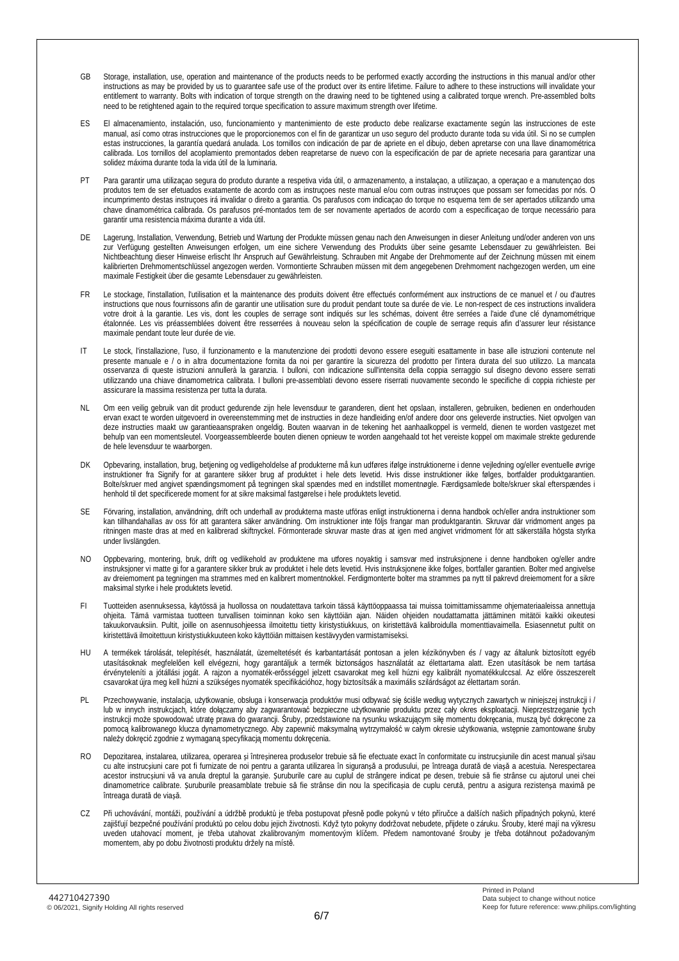- GB Storage, installation, use, operation and maintenance of the products needs to be performed exactly according the instructions in this manual and/or other instructions as may be provided by us to guarantee safe use of the product over its entire lifetime. Failure to adhere to these instructions will invalidate your entitlement to warranty. Bolts with indication of torque strength on the drawing need to be tightened using a calibrated torque wrench. Pre-assembled bolts need to be retightened again to the required torque specification to assure maximum strength over lifetime.
- ES El almacenamiento, instalación, uso, funcionamiento y mantenimiento de este producto debe realizarse exactamente según las instrucciones de este manual, así como otras instrucciones que le proporcionemos con el fin de garantizar un uso seguro del producto durante toda su vida útil. Si no se cumplen estas instrucciones, la garantía quedará anulada. Los tornillos con indicación de par de apriete en el dibujo, deben apretarse con una llave dinamométrica calibrada. Los tornillos del acoplamiento premontados deben reapretarse de nuevo con la especificación de par de apriete necesaria para garantizar una solidez máxima durante toda la vida útil de la luminaria.
- PT Para garantir uma utilizaçao segura do produto durante a respetiva vida útil, o armazenamento, a instalaçao, a utilizaçao, a operaçao e a manutençao dos produtos tem de ser efetuados exatamente de acordo com as instruçoes neste manual e/ou com outras instruçoes que possam ser fornecidas por nós. O incumprimento destas instruçoes irá invalidar o direito a garantia. Os parafusos com indicaçao do torque no esquema tem de ser apertados utilizando uma chave dinamométrica calibrada. Os parafusos pré-montados tem de ser novamente apertados de acordo com a especificaçao de torque necessário para garantir uma resistencia máxima durante a vida útil.
- Lagerung, Installation, Verwendung, Betrieb und Wartung der Produkte müssen genau nach den Anweisungen in dieser Anleitung und/oder anderen von uns zur Verfügung gestellten Anweisungen erfolgen, um eine sichere Verwendung des Produkts über seine gesamte Lebensdauer zu gewährleisten. Bei Nichtbeachtung dieser Hinweise erlischt Ihr Anspruch auf Gewährleistung. Schrauben mit Angabe der Drehmomente auf der Zeichnung müssen mit einem kalibrierten Drehmomentschlüssel angezogen werden. Vormontierte Schrauben müssen mit dem angegebenen Drehmoment nachgezogen werden, um eine maximale Festigkeit über die gesamte Lebensdauer zu gewährleisten.
- FR Le stockage, l'installation, l'utilisation et la maintenance des produits doivent être effectués conformément aux instructions de ce manuel et / ou d'autres instructions que nous fournissons afin de garantir une utilisation sure du produit pendant toute sa durée de vie. Le non-respect de ces instructions invalidera votre droit à la garantie. Les vis, dont les couples de serrage sont indiqués sur les schémas, doivent être serrées a l'aide d'une clé dynamométrique étalonnée. Les vis préassemblées doivent être resserrées à nouveau selon la spécification de couple de serrage requis afin d'assurer leur résistance maximale pendant toute leur durée de vie.
- IT Le stock, l'installazione, l'uso, il funzionamento e la manutenzione dei prodotti devono essere eseguiti esattamente in base alle istruzioni contenute nel presente manuale e / o in altra documentazione fornita da noi per garantire la sicurezza del prodotto per l'intera durata del suo utilizzo. La mancata osservanza di queste istruzioni annullerà la garanzia. I bulloni, con indicazione sull'intensita della coppia serraggio sul disegno devono essere serrati utilizzando una chiave dinamometrica calibrata. I bulloni pre-assemblati devono essere riserrati nuovamente secondo le specifiche di coppia richieste per assicurare la massima resistenza per tutta la durata.
- NL Om een veilig gebruik van dit product gedurende zijn hele levensduur te garanderen, dient het opslaan, installeren, gebruiken, bedienen en onderhouden ervan exact te worden uitgevoerd in overeenstemming met de instructies in deze handleiding en/of andere door ons geleverde instructies. Niet opvolgen van deze instructies maakt uw garantieaanspraken ongeldig. Bouten waarvan in de tekening het aanhaalkoppel is vermeld, dienen te worden vastgezet met behulp van een momentsleutel. Voorgeassembleerde bouten dienen opnieuw te worden aangehaald tot het vereiste koppel om maximale strekte gedurende de hele levensduur te waarborgen.
- DK Opbevaring, installation, brug, betjening og vedligeholdelse af produkterne må kun udføres ifølge instruktionerne i denne vejledning og/eller eventuelle øvrige instruktioner fra Signify for at garantere sikker brug af produktet i hele dets levetid. Hvis disse instruktioner ikke følges, bortfalder produktgarantien. Bolte/skruer med angivet spændingsmoment på tegningen skal spændes med en indstillet momentnøgle. Færdigsamlede bolte/skruer skal efterspændes i henhold til det specificerede moment for at sikre maksimal fastgørelse i hele produktets levetid.
- SE Förvaring, installation, användning, drift och underhall av produkterna maste utföras enligt instruktionerna i denna handbok och/eller andra instruktioner som kan tillhandahallas av oss för att garantera säker användning. Om instruktioner inte följs frangar man produktgarantin. Skruvar där vridmoment anges pa ritningen maste dras at med en kalibrerad skiftnyckel. Förmonterade skruvar maste dras at igen med angivet vridmoment för att säkerställa högsta styrka under livslängden.
- NO Oppbevaring, montering, bruk, drift og vedlikehold av produktene ma utfores noyaktig i samsvar med instruksjonene i denne handboken og/eller andre instruksjoner vi matte gi for a garantere sikker bruk av produktet i hele dets levetid. Hvis instruksjonene ikke folges, bortfaller garantien. Bolter med angivelse av dreiemoment pa tegningen ma strammes med en kalibrert momentnokkel. Ferdigmonterte bolter ma strammes pa nytt til pakrevd dreiemoment for a sikre maksimal styrke i hele produktets levetid.
- FI Tuotteiden asennuksessa, käytössä ja huollossa on noudatettava tarkoin tässä käyttöoppaassa tai muissa toimittamissamme ohjemateriaaleissa annettuja ohjeita. Tämä varmistaa tuotteen turvallisen toiminnan koko sen käyttöiän ajan. Näiden ohjeiden noudattamatta jättäminen mitätöi kaikki oikeutesi takuukorvauksiin. Pultit, joille on asennusohjeessa ilmoitettu tietty kiristystiukkuus, on kiristettävä kalibroidulla momenttiavaimella. Esiasennetut pultit on kiristettävä ilmoitettuun kiristystiukkuuteen koko käyttöiän mittaisen kestävyyden varmistamiseksi.
- HU A termékek tárolását, telepítését, használatát, üzemeltetését és karbantartását pontosan a jelen kézikönyvben és / vagy az általunk biztosított egyéb utasításoknak megfelelően kell elvégezni, hogy garantáljuk a termék biztonságos használatát az élettartama alatt. Ezen utasítások be nem tartása érvényteleníti a jótállási jogát. A rajzon a nyomaték-erősséggel jelzett csavarokat meg kell húzni egy kalibrált nyomatékkulccsal. Az előre összeszerelt csavarokat újra meg kell húzni a szükséges nyomaték specifikációhoz, hogy biztosítsák a maximális szilárdságot az élettartam során.
- PL Przechowywanie, instalacja, użytkowanie, obsługa i konserwacja produktów musi odbywać się ściśle według wytycznych zawartych w niniejszej instrukcji i / lub w innych instrukcjach, które dołączamy aby zagwarantować bezpieczne użytkowanie produktu przez cały okres eksploatacji. Nieprzestrzeganie tych instrukcji może spowodować utratę prawa do gwarancji. Śruby, przedstawione na rysunku wskazującym siłę momentu dokręcania, muszą być dokręcone za pomocą kalibrowanego klucza dynamometrycznego. Aby zapewnić maksymalną wytrzymałość w całym okresie użytkowania, wstępnie zamontowane śruby należy dokręcić zgodnie z wymaganą specyfikacją momentu dokręcenia.
- RO Depozitarea, instalarea, utilizarea, operarea și întreșinerea produselor trebuie să fie efectuate exact în conformitate cu instrucșiunile din acest manual și/sau cu alte instrucșiuni care pot fi furnizate de noi pentru a garanta utilizarea în siguranșă a produsului, pe întreaga durată de viașă a acestuia. Nerespectarea acestor instrucșiuni vă va anula dreptul la garanșie. Șuruburile care au cuplul de strângere indicat pe desen, trebuie să fie strânse cu ajutorul unei chei dinamometrice calibrate. Șuruburile preasamblate trebuie să fie strânse din nou la specificașia de cuplu cerută, pentru a asigura rezistenșa maximă pe întreaga durată de viașă.
- Při uchovávání, montáži, používání a údržbě produktů je třeba postupovat přesně podle pokynů v této příručce a dalších našich případných pokynů, které zajišťují bezpečné používání produktů po celou dobu jejich životnosti. Když tyto pokyny dodržovat nebudete, přijdete o záruku. Šrouby, které mají na výkresu uveden utahovací moment, je třeba utahovat zkalibrovaným momentovým klíčem. Předem namontované šrouby je třeba dotáhnout požadovaným momentem, aby po dobu životnosti produktu držely na místě.